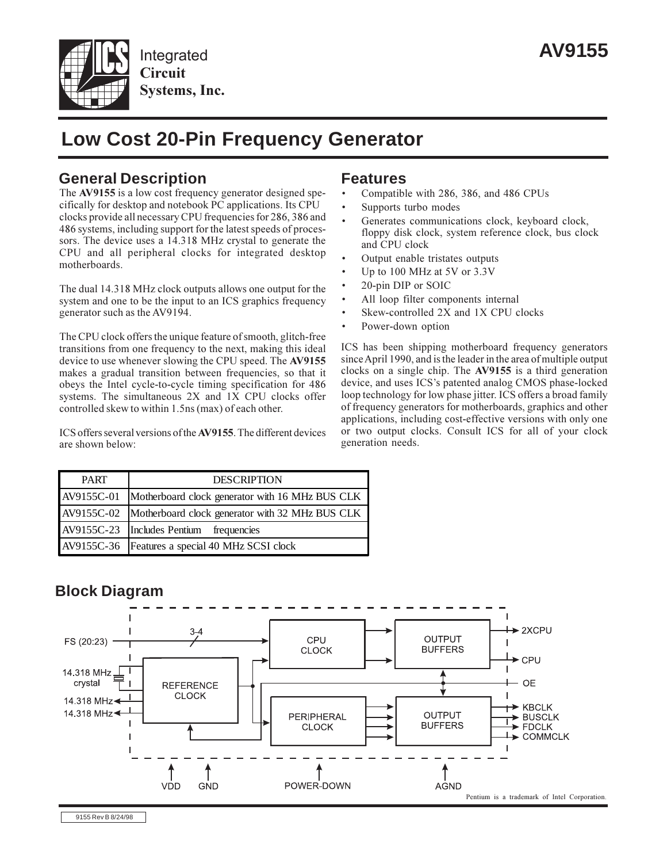

# **Low Cost 20-Pin Frequency Generator**

## **General Description Features**

The **AV9155** is a low cost frequency generator designed specifically for desktop and notebook PC applications. Its CPU clocks provide all necessary CPU frequencies for 286, 386 and 486 systems, including support for the latest speeds of processors. The device uses a 14.318 MHz crystal to generate the CPU and all peripheral clocks for integrated desktop motherboards.

The dual 14.318 MHz clock outputs allows one output for the system and one to be the input to an ICS graphics frequency generator such as the AV9194.

The CPU clock offers the unique feature of smooth, glitch-free transitions from one frequency to the next, making this ideal device to use whenever slowing the CPU speed. The **AV9155** makes a gradual transition between frequencies, so that it obeys the Intel cycle-to-cycle timing specification for 486 systems. The simultaneous 2X and 1X CPU clocks offer controlled skew to within 1.5ns (max) of each other.

ICS offers several versions of the**AV9155**. The different devices are shown below:

- Compatible with 286, 386, and 486 CPUs
- Supports turbo modes
- Generates communications clock, keyboard clock, floppy disk clock, system reference clock, bus clock and CPU clock
- Output enable tristates outputs
- Up to 100 MHz at 5V or 3.3V
- 20-pin DIP or SOIC
- All loop filter components internal
- Skew-controlled 2X and 1X CPU clocks
- Power-down option

ICS has been shipping motherboard frequency generators sinceApril 1990, and is the leader in the area of multiple output clocks on a single chip. The **AV9155** is a third generation device, and uses ICS's patented analog CMOS phase-locked loop technology for low phase jitter. ICS offers a broad family of frequency generators for motherboards, graphics and other applications, including cost-effective versions with only one or two output clocks. Consult ICS for all of your clock generation needs.

| <b>PART</b> | <b>DESCRIPTION</b>                                          |
|-------------|-------------------------------------------------------------|
| AV9155C-01  | Motherboard clock generator with 16 MHz BUS CLK             |
|             | AV9155C-02  Motherboard clock generator with 32 MHz BUS CLK |
|             | $AV9155C-23$  Includes Pentium <sup>TM</sup> frequencies    |
|             | AV9155C-36 Features a special 40 MHz SCSI clock             |

## **Block Diagram**

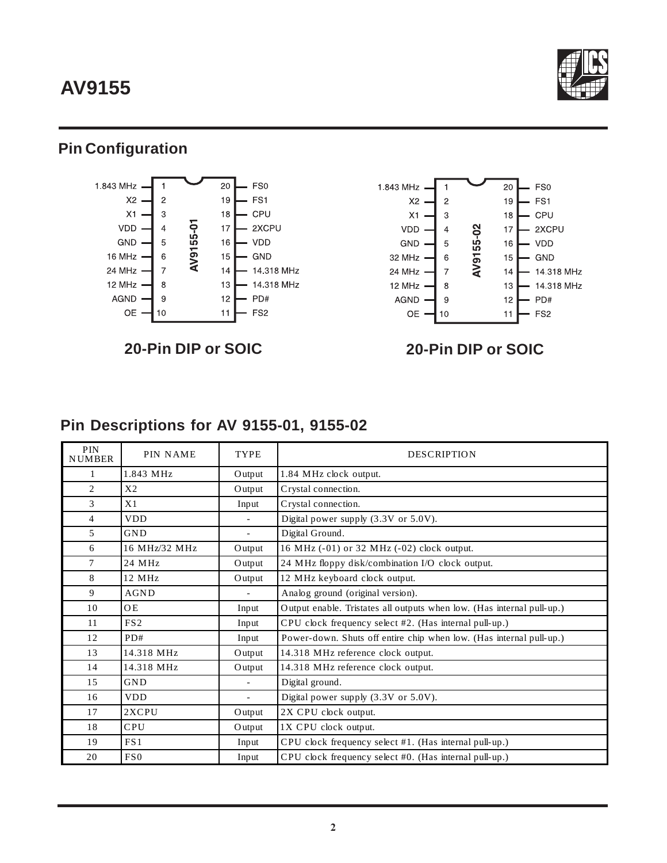# **AV9155**



## **Pin Configuration**



**20-Pin DIP or SOIC 20-Pin DIP or SOIC**



## **Pin Descriptions for AV 9155-01, 9155-02**

| <b>PIN</b><br><b>NUMBER</b> | <b>PIN NAME</b>  | <b>TYPE</b> | <b>DESCRIPTION</b>                                                     |
|-----------------------------|------------------|-------------|------------------------------------------------------------------------|
|                             | 1.843 MHz        | Output      | 1.84 MHz clock output.                                                 |
| $\overline{c}$              | X <sub>2</sub>   | Output      | Crystal connection.                                                    |
| 3                           | X1               | Input       | Crystal connection.                                                    |
| 4                           | <b>VDD</b>       |             | Digital power supply (3.3V or 5.0V).                                   |
| 5                           | <b>GND</b>       | ÷.          | Digital Ground.                                                        |
| 6                           | 16 MHz/32 MHz    | Output      | 16 MHz (-01) or 32 MHz (-02) clock output.                             |
| $\tau$                      | 24 MHz           | Output      | 24 MHz floppy disk/combination I/O clock output.                       |
| 8                           | $12 \text{ MHz}$ | Output      | 12 MHz keyboard clock output.                                          |
| 9                           | AGND             |             | Analog ground (original version).                                      |
| 10                          | <b>OE</b>        | Input       | Output enable. Tristates all outputs when low. (Has internal pull-up.) |
| 11                          | FS <sub>2</sub>  | Input       | CPU clock frequency select #2. (Has internal pull-up.)                 |
| 12                          | PD#              | Input       | Power-down. Shuts off entire chip when low. (Has internal pull-up.)    |
| 13                          | 14.318 MHz       | Output      | 14.318 MHz reference clock output.                                     |
| 14                          | 14.318 MHz       | Output      | 14.318 MHz reference clock output.                                     |
| 15                          | GND              |             | Digital ground.                                                        |
| 16                          | <b>VDD</b>       |             | Digital power supply (3.3V or 5.0V).                                   |
| 17                          | 2XCPU            | Output      | 2X CPU clock output.                                                   |
| 18                          | <b>CPU</b>       | Output      | 1X CPU clock output.                                                   |
| 19                          | FS1              | Input       | CPU clock frequency select #1. (Has internal pull-up.)                 |
| 20                          | FS <sub>0</sub>  | Input       | CPU clock frequency select #0. (Has internal pull-up.)                 |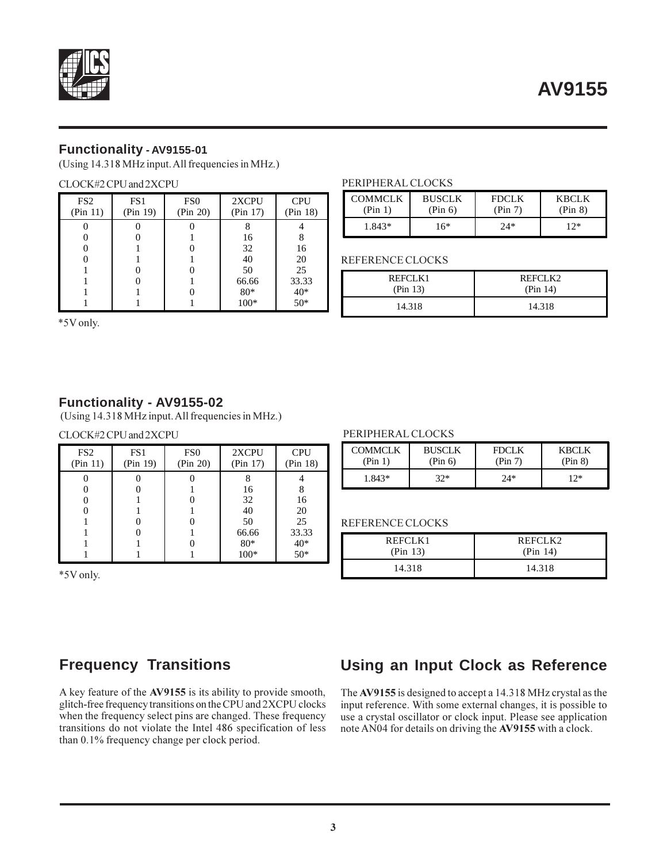

### **Functionality - AV9155-01**

(Using 14.318 MHz input. All frequencies in MHz.)

#### CLOCK#2 CPU and 2XCPU

| FS <sub>2</sub><br>(Pin 11) | FS1<br>(Pin 19) | FS <sub>0</sub><br>(Pin 20) | 2XCPU<br>(Pin 17) | <b>CPU</b><br>(Pin 18) |
|-----------------------------|-----------------|-----------------------------|-------------------|------------------------|
|                             |                 |                             |                   |                        |
|                             |                 |                             | 16                |                        |
|                             |                 |                             | 32                | 16                     |
|                             |                 |                             | 40                | 20                     |
|                             |                 |                             | 50                | 25                     |
|                             |                 |                             | 66.66             | 33.33                  |
|                             |                 |                             | 80*               | $40*$                  |
|                             |                 |                             | $100*$            | $50*$                  |

#### PERIPHERAL CLOCKS

| <b>COMMCLK</b> | <b>BUSCLK</b> | <b>FDCLK</b> | KBCLK   |
|----------------|---------------|--------------|---------|
| (Pin 1)        | (Pin 6)       | (Pin 7)      | (Pin 8) |
| 1.843*         | 16*           | $2.4*$       | 12*     |

REFERENCE CLOCKS

| REFCLK1  | REFCLK2  |  |
|----------|----------|--|
| (Pin 13) | (Pin 14) |  |
| 14.318   | 14.318   |  |

\*5V only.

### **Functionality - AV9155-02**

(Using 14.318 MHz input. All frequencies in MHz.)

#### CLOCK#2 CPU and 2XCPU PERIPHERAL CLOCKS

| FS <sub>2</sub><br>(Pin 11) | FS1<br>(Pin 19) | FS <sub>0</sub><br>(Pin 20) | 2XCPU<br>(Pin 17) | <b>CPU</b><br>(Pin 18) |
|-----------------------------|-----------------|-----------------------------|-------------------|------------------------|
|                             |                 |                             | 16                |                        |
|                             |                 |                             | 32                | 16                     |
|                             |                 |                             | 40<br>50          | 20<br>25               |
|                             |                 |                             | 66.66<br>$80*$    | 33.33<br>$40*$         |
|                             |                 |                             | $100*$            | $50*$                  |

\*5V only.

| COMMCLK | <b>BUSCLK</b> | <b>FDCLK</b> | <b>KBCLK</b> |
|---------|---------------|--------------|--------------|
| (Pin 1) | (Pin 6)       | (Pin 7)      | (Pin 8)      |
| 1.843*  | 32*           | $24*$        | $12*$        |

#### REFERENCE CLOCKS

| REFCLK1  | REFCLK2  |
|----------|----------|
| (Pin 13) | (Pin 14) |
| 14.318   | 14.318   |

## **Frequency Transitions**

A key feature of the **AV9155** is its ability to provide smooth, glitch-free frequency transitions on the CPU and 2XCPU clocks when the frequency select pins are changed. These frequency transitions do not violate the Intel 486 specification of less than 0.1% frequency change per clock period.

## **Using an Input Clock as Reference**

The **AV9155** is designed to accept a 14.318 MHz crystal as the input reference. With some external changes, it is possible to use a crystal oscillator or clock input. Please see application note AN04 for details on driving the **AV9155** with a clock.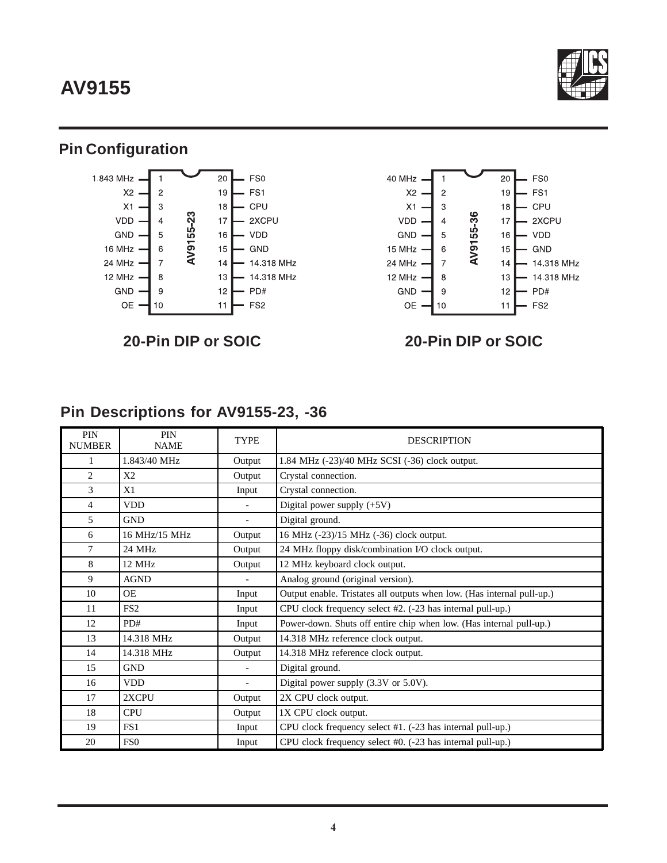# **AV9155**



## **Pin Configuration**





## **20-Pin DIP or SOIC 20-Pin DIP or SOIC**

## **Pin Descriptions for AV9155-23, -36**

| <b>PIN</b><br><b>NUMBER</b> | <b>PIN</b><br><b>NAME</b> | <b>TYPE</b> | <b>DESCRIPTION</b>                                                     |
|-----------------------------|---------------------------|-------------|------------------------------------------------------------------------|
| 1                           | 1.843/40 MHz              | Output      | 1.84 MHz (-23)/40 MHz SCSI (-36) clock output.                         |
| $\overline{c}$              | X <sub>2</sub>            | Output      | Crystal connection.                                                    |
| 3                           | X1                        | Input       | Crystal connection.                                                    |
| 4                           | <b>VDD</b>                |             | Digital power supply $(+5V)$                                           |
| 5                           | <b>GND</b>                |             | Digital ground.                                                        |
| 6                           | 16 MHz/15 MHz             | Output      | 16 MHz (-23)/15 MHz (-36) clock output.                                |
| 7                           | 24 MHz                    | Output      | 24 MHz floppy disk/combination I/O clock output.                       |
| 8                           | 12 MHz                    | Output      | 12 MHz keyboard clock output.                                          |
| 9                           | <b>AGND</b>               |             | Analog ground (original version).                                      |
| 10                          | <b>OE</b>                 | Input       | Output enable. Tristates all outputs when low. (Has internal pull-up.) |
| 11                          | FS <sub>2</sub>           | Input       | CPU clock frequency select #2. (-23 has internal pull-up.)             |
| 12                          | PD#                       | Input       | Power-down. Shuts off entire chip when low. (Has internal pull-up.)    |
| 13                          | 14.318 MHz                | Output      | 14.318 MHz reference clock output.                                     |
| 14                          | 14.318 MHz                | Output      | 14.318 MHz reference clock output.                                     |
| 15                          | <b>GND</b>                |             | Digital ground.                                                        |
| 16                          | <b>VDD</b>                |             | Digital power supply (3.3V or 5.0V).                                   |
| 17                          | 2XCPU                     | Output      | 2X CPU clock output.                                                   |
| 18                          | <b>CPU</b>                | Output      | 1X CPU clock output.                                                   |
| 19                          | FS <sub>1</sub>           | Input       | CPU clock frequency select #1. (-23 has internal pull-up.)             |
| 20                          | FS <sub>0</sub>           | Input       | CPU clock frequency select #0. (-23 has internal pull-up.)             |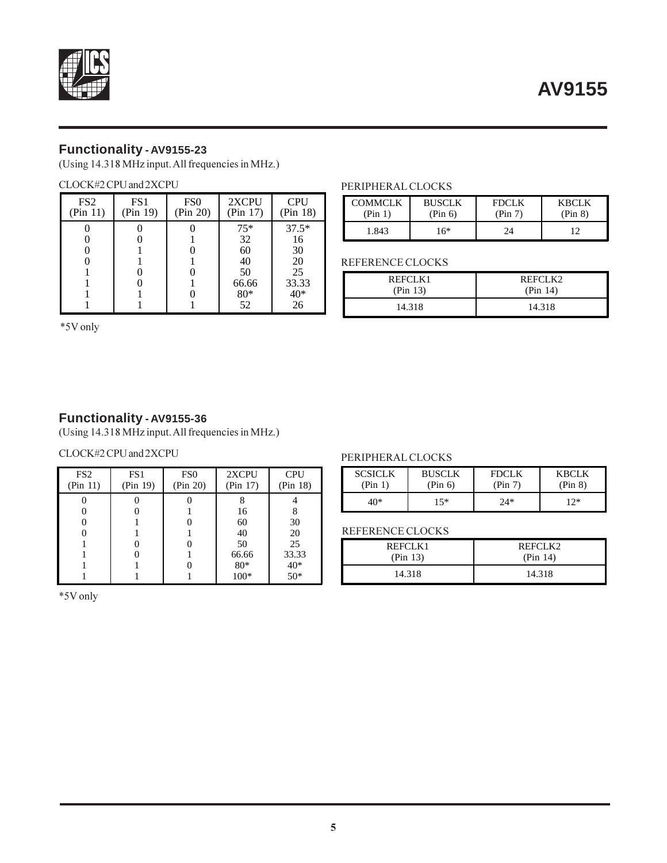



## **Functionality - AV9155-23**

(Using 14.318 MHz input. All frequencies in MHz.)

#### CLOCK#2 CPU and 2XCPU

| FS <sub>2</sub><br>(Pin 11) | FS <sub>1</sub><br>(Pin 19) | FS <sub>0</sub><br>(Pin 20) | 2XCPU<br>(Pin 17) | <b>CPU</b><br>(Pin 18) |
|-----------------------------|-----------------------------|-----------------------------|-------------------|------------------------|
|                             |                             |                             | $75*$             | $37.5*$                |
|                             |                             |                             | 32                | 16                     |
|                             |                             |                             | 60                | 30                     |
|                             |                             |                             | 40                | 20                     |
|                             |                             |                             | 50                | 25                     |
|                             |                             |                             | 66.66             | 33.33                  |
|                             |                             |                             | $80*$             | 40*                    |
|                             |                             |                             | 52                | 26                     |

#### PERIPHERAL CLOCKS

| <b>COMMCLK</b> | <b>BUSCLK</b> | <b>FDCLK</b> | KBCLK   |
|----------------|---------------|--------------|---------|
| (Pin 1)        | (Pin 6)       | (Pin $7$     | (Pin 8) |
| 1.843          | 16*           | 7Δ           |         |

#### REFERENCE CLOCKS

| REFCLK1  | REFCLK2  |  |
|----------|----------|--|
| (Pin 13) | (Pin 14) |  |
| 14.318   | 14.318   |  |

\*5V only

### **Functionality - AV9155-36**

(Using 14.318 MHz input. All frequencies in MHz.)

### CLOCK#2 CPU and 2XCPU PERIPHERAL CLOCKS

| FS <sub>2</sub><br>(Pin 11) | FS <sub>1</sub><br>(Pin 19) | FS <sub>0</sub><br>(Pin 20) | 2XCPU<br>(Pin 17) | <b>CPU</b><br>(Pin 18) |
|-----------------------------|-----------------------------|-----------------------------|-------------------|------------------------|
|                             |                             |                             |                   |                        |
|                             |                             |                             | 16                |                        |
|                             |                             |                             | 60                | 30                     |
|                             |                             |                             | 40                | 20                     |
|                             |                             |                             | 50                | 25                     |
|                             |                             |                             | 66.66             | 33.33                  |
|                             |                             |                             | $80*$             | $40*$                  |
|                             |                             |                             | $100*$            | $50*$                  |

\*5V only

| <b>SCSICLK</b> | <b>BUSCLK</b> | <b>FDCLK</b> | KBCLK   |
|----------------|---------------|--------------|---------|
| (Pin 1)        | (Pin 6)       | (Pin 7)      | (Pin 8) |
| 40*            | 15*           | $24*$        | 1つ*     |

#### REFERENCE CLOCKS

| REFCLK1  | REFCLK2  |  |
|----------|----------|--|
| (Pin 13) | (Pin 14) |  |
| 14.318   | 14.318   |  |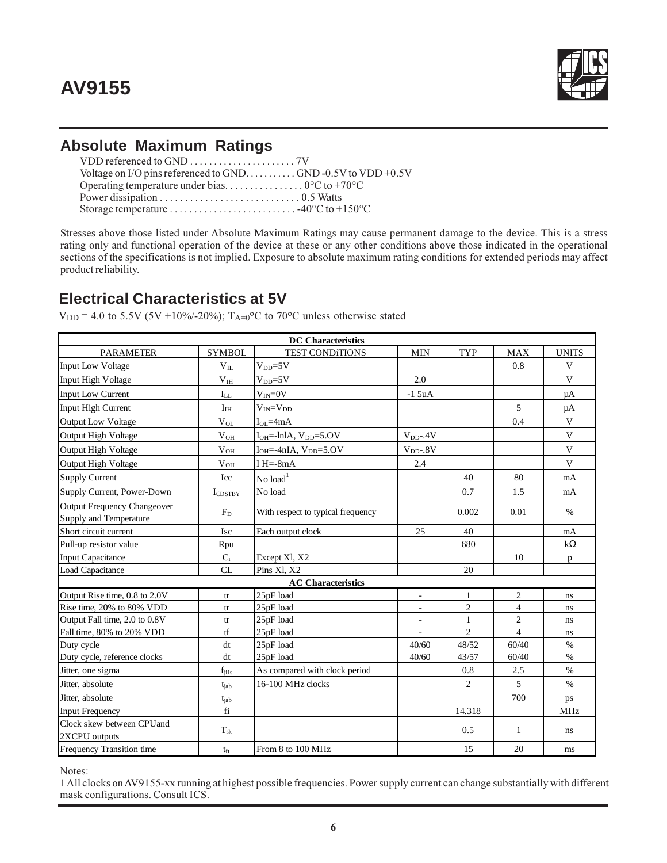

## **Absolute Maximum Ratings**

Stresses above those listed under Absolute Maximum Ratings may cause permanent damage to the device. This is a stress rating only and functional operation of the device at these or any other conditions above those indicated in the operational sections of the specifications is not implied. Exposure to absolute maximum rating conditions for extended periods may affect product reliability.

## **Electrical Characteristics at 5V**

 $V_{DD} = 4.0$  to 5.5V (5V +10%/-20%);  $T_{A=0}$ <sup>o</sup>C to 70<sup>o</sup>C unless otherwise stated

|                                            |                     | <b>DC</b> Characteristics         |                  |                |                |              |
|--------------------------------------------|---------------------|-----------------------------------|------------------|----------------|----------------|--------------|
| <b>PARAMETER</b>                           | <b>SYMBOL</b>       | <b>TEST CONDITIONS</b>            | <b>MIN</b>       | <b>TYP</b>     | <b>MAX</b>     | <b>UNITS</b> |
| <b>Input Low Voltage</b>                   | $V_{IL}$            | $V_{DD} = 5V$                     |                  |                | 0.8            | V            |
| Input High Voltage                         | V <sub>IH</sub>     | $V_{DD} = 5V$                     | 2.0              |                |                | $\mathbf{V}$ |
| <b>Input Low Current</b>                   | $I_{LL}$            | $V_{IN} = 0V$                     | $-15uA$          |                |                | μA           |
| <b>Input High Current</b>                  | I <sub>IH</sub>     | $V_{IN} = V_{DD}$                 |                  |                | 5              | μA           |
| <b>Output Low Voltage</b>                  | $V_{OL}$            | $I_{OL} = 4mA$                    |                  |                | 0.4            | $\mathbf{V}$ |
| Output High Voltage                        | $V_{OH}$            | $IOH=-lnIA, VDD=5.OV$             | $V_{DD}$ -.4 $V$ |                |                | V            |
| <b>Output High Voltage</b>                 | $V_{OH}$            | $IOH=-4nIA, VDD=5.OV$             | $V_{DD}$ -.8V    |                |                | V            |
| Output High Voltage                        | $V_{OH}$            | I $H = -8mA$                      | 2.4              |                |                | $\mathbf{V}$ |
| <b>Supply Current</b>                      | Icc                 | $No$ load <sup>1</sup>            |                  | 40             | 80             | mA           |
| Supply Current, Power-Down                 | $I_{\text{CDSTBY}}$ | No load                           |                  | 0.7            | 1.5            | mA           |
| <b>Output Frequency Changeover</b>         |                     |                                   |                  |                |                |              |
| Supply and Temperature                     | $F_D$               | With respect to typical frequency |                  | 0.002          | 0.01           | $\%$         |
| Short circuit current                      | <b>Isc</b>          | Each output clock                 | 25               | 40             |                | mA           |
| Pull-up resistor value                     | Rpu                 |                                   |                  | 680            |                | $k\Omega$    |
| <b>Input Capacitance</b>                   | $C_i$               | Except XI, X2                     |                  |                | 10             | p            |
| <b>Load Capacitance</b>                    | CL                  | Pins XI, X2                       |                  | 20             |                |              |
|                                            |                     | <b>AC</b> Characteristics         |                  |                |                |              |
| Output Rise time, 0.8 to 2.0V              | $\mbox{tr}$         | 25pF load                         | $\blacksquare$   | $\mathbf{1}$   | $\sqrt{2}$     | ns           |
| Rise time, 20% to 80% VDD                  | tr                  | 25pF load                         |                  | $\overline{c}$ | $\overline{4}$ | ns           |
| Output Fall time, 2.0 to 0.8V              | tr                  | 25pF load                         | $\sim$           | $\mathbf{1}$   | $\overline{c}$ | ns           |
| Fall time, 80% to 20% VDD                  | tf                  | 25pF load                         | L.               | $\overline{2}$ | $\overline{4}$ | ns           |
| Duty cycle                                 | dt                  | 25pF load                         | 40/60            | 48/52          | 60/40          | $\%$         |
| Duty cycle, reference clocks               | dt                  | 25pF load                         | 40/60            | 43/57          | 60/40          | $\%$         |
| Jitter, one sigma                          | $f_{ij1s}$          | As compared with clock period     |                  | 0.8            | 2.5            | $\%$         |
| Jitter, absolute                           | tjab                | 16-100 MHz clocks                 |                  | $\overline{2}$ | 5              | $\%$         |
| Jitter, absolute                           | $t_{iab}$           |                                   |                  |                | 700            | ps           |
| <b>Input Frequency</b>                     | fi                  |                                   |                  | 14.318         |                | <b>MHz</b>   |
| Clock skew between CPUand<br>2XCPU outputs | $T_{\rm sk}$        |                                   |                  | 0.5            | 1              | ns           |
| Frequency Transition time                  | $t_{\rm ft}$        | From 8 to 100 MHz                 |                  | 15             | 20             | ms           |

Notes:

1 All clocks on AV9155-xx running at highest possible frequencies. Power supply current can change substantially with different mask configurations. Consult ICS.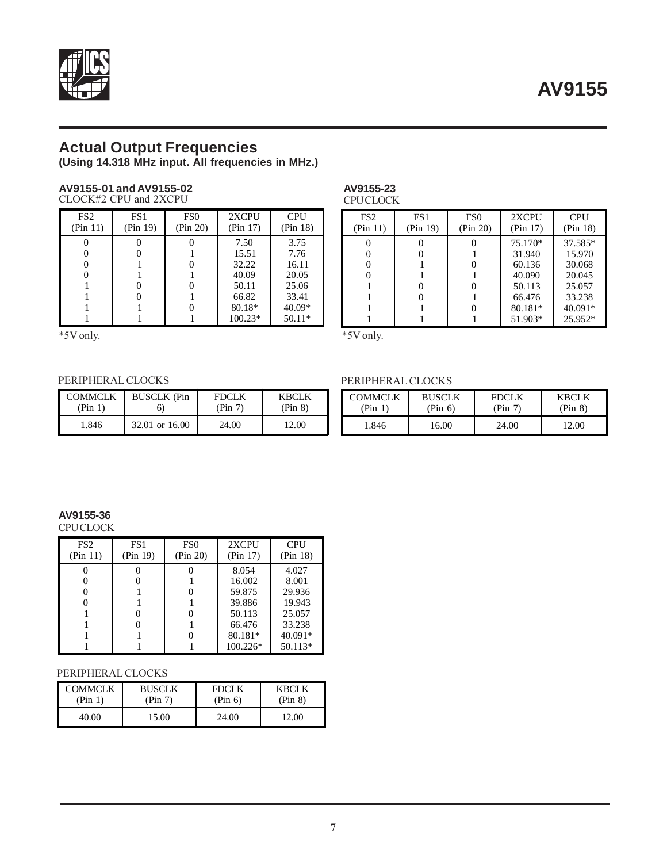

## **Actual Output Frequencies**

**(Using 14.318 MHz input. All frequencies in MHz.)**

#### **AV9155-01 and AV9155-02** CLOCK#2 CPU and 2XCPU

| FS <sub>2</sub><br>(Pin 11) | FS1<br>(Pin 19) | FS <sub>0</sub><br>(Pin 20) | 2XCPU<br>(Pin 17) | <b>CPU</b><br>(Pin 18) |
|-----------------------------|-----------------|-----------------------------|-------------------|------------------------|
|                             |                 |                             | 7.50              | 3.75                   |
|                             |                 |                             | 15.51             | 7.76                   |
|                             |                 |                             | 32.22             | 16.11                  |
|                             |                 |                             | 40.09             | 20.05                  |
|                             |                 |                             | 50.11             | 25.06                  |
|                             |                 |                             | 66.82             | 33.41                  |
|                             |                 |                             | 80.18*            | 40.09*                 |
|                             |                 |                             | 100.23*           | $50.11*$               |

 $*5V$  only.  $*5V$  only.

#### **AV9155-23 CPU CLOCK**

| FS <sub>2</sub><br>(Pin 11) | FS <sub>1</sub><br>(Pin 19) | FS <sub>0</sub><br>(Pin 20) | 2XCPU<br>(Pin 17) | <b>CPU</b><br>(Pin 18) |
|-----------------------------|-----------------------------|-----------------------------|-------------------|------------------------|
|                             |                             |                             | 75.170*           | 37.585*                |
|                             |                             |                             | 31.940            | 15.970                 |
|                             |                             |                             | 60.136            | 30.068                 |
|                             |                             |                             | 40.090            | 20.045                 |
|                             |                             |                             | 50.113            | 25.057                 |
|                             |                             |                             | 66.476            | 33.238                 |
|                             |                             |                             | 80.181*           | 40.091*                |
|                             |                             |                             | 51.903*           | $25.952*$              |

#### PERIPHERAL CLOCKS

| <b>COMMCLK</b> | <b>BUSCLK</b> (Pin | <b>FDCLK</b> | KBCLK   |
|----------------|--------------------|--------------|---------|
| (Pin 1)        | O.                 | (Pin 7)      | (Pin 8) |
| 1.846          | 32.01 or 16.00     | 24.00        | 12.00   |

| PERIPHERAL CLOCKS         |                          |                         |                         |  |  |
|---------------------------|--------------------------|-------------------------|-------------------------|--|--|
| <b>COMMCLK</b><br>(Pin 1) | <b>BUSCLK</b><br>(Pin 6) | <b>FDCLK</b><br>(Pin 7) | <b>KBCLK</b><br>(Pin 8) |  |  |
| 1.846                     | 16.00                    | 24.00                   | 12.00                   |  |  |

## **AV9155-36**

**CPU CLOCK** 

| FS <sub>2</sub><br>(Pin 11) | FS <sub>1</sub><br>(Pin 19) | FS <sub>0</sub><br>(Pin 20) | 2XCPU<br>(Pin 17) | <b>CPU</b><br>(Pin 18) |
|-----------------------------|-----------------------------|-----------------------------|-------------------|------------------------|
|                             |                             |                             | 8.054             | 4.027                  |
|                             |                             |                             | 16.002            | 8.001                  |
|                             |                             |                             | 59.875            | 29.936                 |
|                             |                             |                             | 39.886            | 19.943                 |
|                             |                             |                             | 50.113            | 25.057                 |
|                             |                             |                             | 66.476            | 33.238                 |
|                             |                             |                             | 80.181*           | 40.091*                |
|                             |                             |                             | $100.226*$        | 50.113*                |

#### PERIPHERAL CLOCKS

| <b>COMMCLK</b> | <b>BUSCLK</b> | <b>FDCLK</b> | KBCLK   |
|----------------|---------------|--------------|---------|
| (Pin 1)        | (Pin 7)       | (Pin 6)      | (Pin 8) |
| 40.00          | 15.00         | 24.00        | 12.00   |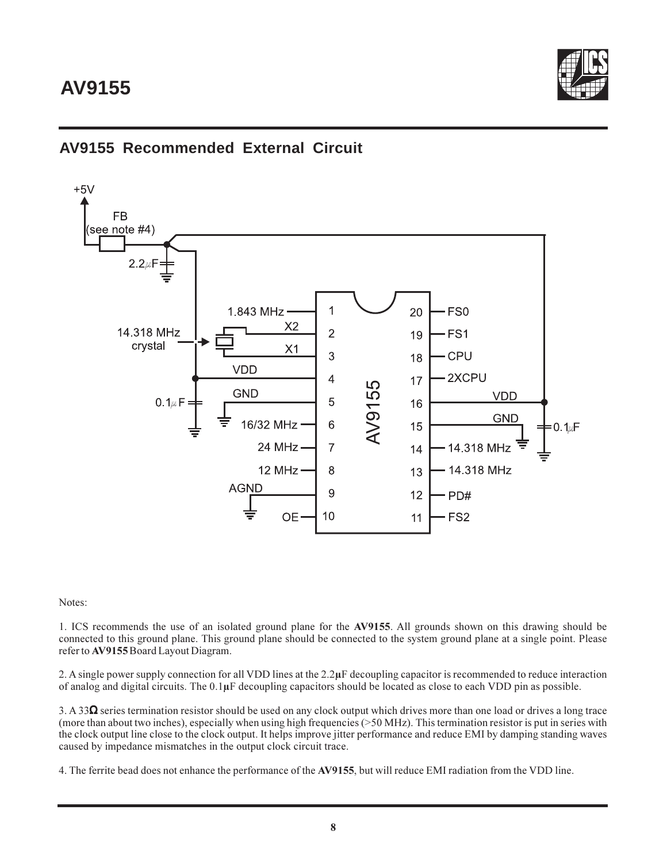

## **AV9155 Recommended External Circuit**



Notes:

1. ICS recommends the use of an isolated ground plane for the **AV9155**. All grounds shown on this drawing should be connected to this ground plane. This ground plane should be connected to the system ground plane at a single point. Please refer to **AV9155** Board Layout Diagram.

2. A single power supply connection for all VDD lines at the 2.2**µ**F decoupling capacitor is recommended to reduce interaction of analog and digital circuits. The 0.1**µ**F decoupling capacitors should be located as close to each VDD pin as possible.

3. A 33Ω series termination resistor should be used on any clock output which drives more than one load or drives a long trace (more than about two inches), especially when using high frequencies (>50 MHz). This termination resistor is put in series with the clock output line close to the clock output. It helps improve jitter performance and reduce EMI by damping standing waves caused by impedance mismatches in the output clock circuit trace.

4. The ferrite bead does not enhance the performance of the **AV9155**, but will reduce EMI radiation from the VDD line.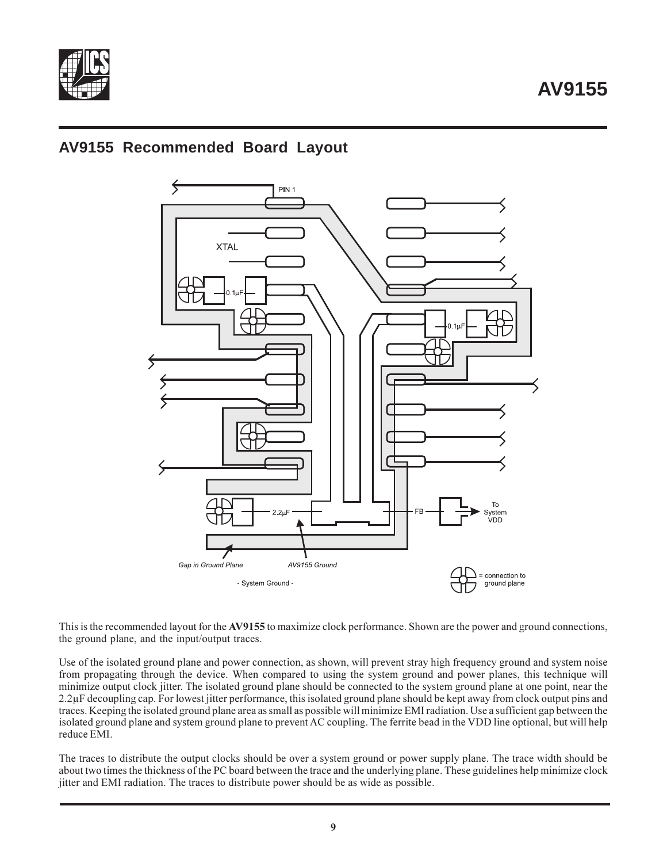

## **AV9155 Recommended Board Layout**



This is the recommended layout for the **AV9155** to maximize clock performance. Shown are the power and ground connections, the ground plane, and the input/output traces.

Use of the isolated ground plane and power connection, as shown, will prevent stray high frequency ground and system noise from propagating through the device. When compared to using the system ground and power planes, this technique will minimize output clock jitter. The isolated ground plane should be connected to the system ground plane at one point, near the 2.2µF decoupling cap. For lowest jitter performance, this isolated ground plane should be kept away from clock output pins and traces. Keeping the isolated ground plane area as small as possible will minimize EMI radiation. Use a sufficient gap between the isolated ground plane and system ground plane to prevent AC coupling. The ferrite bead in the VDD line optional, but will help reduce EMI.

The traces to distribute the output clocks should be over a system ground or power supply plane. The trace width should be about two times the thickness of the PC board between the trace and the underlying plane. These guidelines help minimize clock jitter and EMI radiation. The traces to distribute power should be as wide as possible.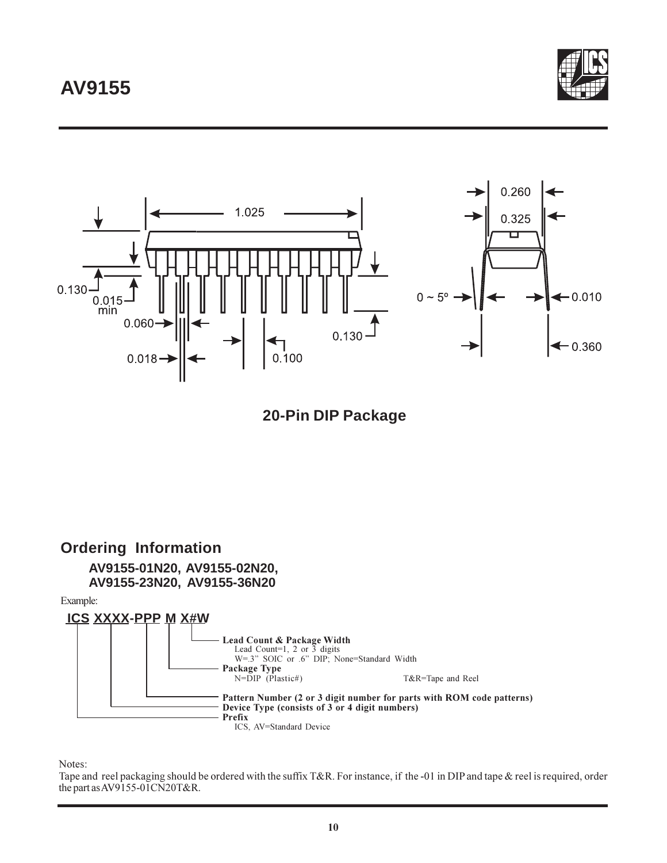# **AV9155**





 **20-Pin DIP Package**



Notes:

Tape and reel packaging should be ordered with the suffix T&R. For instance, if the -01 in DIP and tape & reel is required, order the part as AV9155-01CN20T&R.